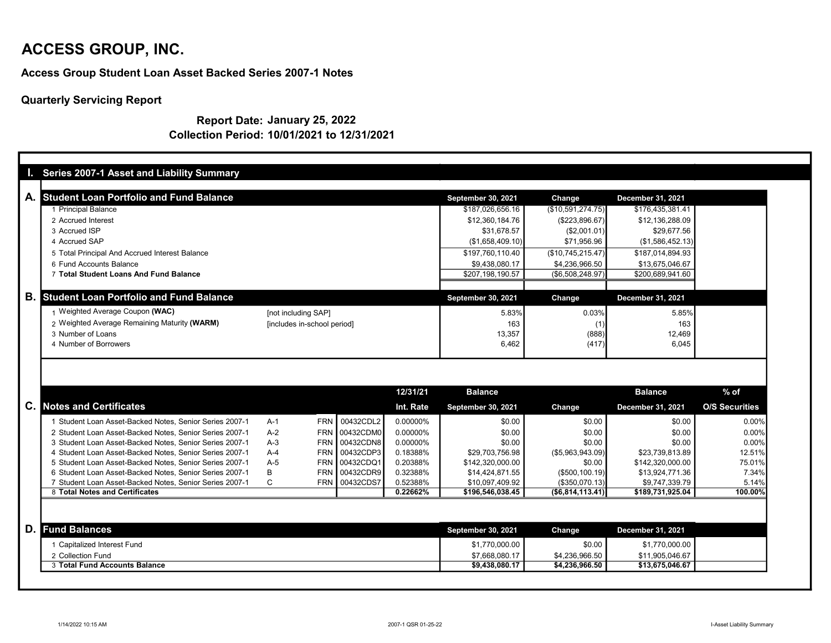Access Group Student Loan Asset Backed Series 2007-1 Notes

Quarterly Servicing Report

Report Date: January 25, 2022 Collection Period: 10/01/2021 to 12/31/2021

|                 | Series 2007-1 Asset and Liability Summary               |              |                             |           |           |                                  |                                  |                                    |                       |
|-----------------|---------------------------------------------------------|--------------|-----------------------------|-----------|-----------|----------------------------------|----------------------------------|------------------------------------|-----------------------|
|                 |                                                         |              |                             |           |           |                                  |                                  |                                    |                       |
| A. <sub>I</sub> | <b>Student Loan Portfolio and Fund Balance</b>          |              |                             |           |           | September 30, 2021               | Change                           | December 31, 2021                  |                       |
|                 | 1 Principal Balance                                     |              |                             |           |           | \$187,026,656.16                 | (\$10,591,274.75)                | \$176,435,381.41                   |                       |
|                 | 2 Accrued Interest                                      |              |                             |           |           | \$12,360,184.76                  | (\$223,896.67)                   | \$12,136,288.09                    |                       |
|                 | 3 Accrued ISP                                           |              |                             |           |           | \$31.678.57                      | (\$2,001.01)                     | \$29.677.56                        |                       |
|                 | 4 Accrued SAP                                           |              |                             |           |           | (\$1,658,409.10)                 | \$71,956.96                      | (\$1,586,452.13)                   |                       |
|                 | 5 Total Principal And Accrued Interest Balance          |              |                             |           |           | \$197.760.110.40                 | (\$10,745,215.47)                | \$187.014.894.93                   |                       |
|                 | 6 Fund Accounts Balance                                 |              |                             |           |           | \$9,438,080.17                   | \$4,236,966.50                   | \$13,675,046.67                    |                       |
|                 | 7 Total Student Loans And Fund Balance                  |              |                             |           |           | \$207.198.190.57                 | (\$6,508,248.97)                 | \$200,689,941.60                   |                       |
|                 |                                                         |              |                             |           |           |                                  |                                  |                                    |                       |
| <b>B.</b>       | <b>Student Loan Portfolio and Fund Balance</b>          |              |                             |           |           | September 30, 2021               | Change                           | December 31, 2021                  |                       |
|                 | 1 Weighted Average Coupon (WAC)                         |              | [not including SAP]         |           |           | 5.83%                            | 0.03%                            | 5.85%                              |                       |
|                 | 2 Weighted Average Remaining Maturity (WARM)            |              | [includes in-school period] |           |           | 163                              | (1)                              | 163                                |                       |
|                 | 3 Number of Loans                                       |              |                             |           |           | 13,357                           | (888)                            | 12,469                             |                       |
|                 | 4 Number of Borrowers                                   |              |                             |           |           | 6,462                            | (417)                            | 6,045                              |                       |
|                 |                                                         |              |                             |           |           |                                  |                                  |                                    |                       |
|                 |                                                         |              |                             |           |           |                                  |                                  |                                    |                       |
|                 |                                                         |              |                             |           |           |                                  |                                  |                                    |                       |
|                 |                                                         |              |                             |           | 12/31/21  | <b>Balance</b>                   |                                  | <b>Balance</b>                     | $%$ of                |
| C.              | <b>Notes and Certificates</b>                           |              |                             |           | Int. Rate | September 30, 2021               | Change                           | December 31, 2021                  | <b>O/S Securities</b> |
|                 | 1 Student Loan Asset-Backed Notes, Senior Series 2007-1 | $A-1$        | <b>FRN</b>                  | 00432CDL2 | 0.00000%  | \$0.00                           | \$0.00                           | \$0.00                             | 0.00%                 |
|                 | 2 Student Loan Asset-Backed Notes, Senior Series 2007-1 | $A-2$        | <b>FRN</b>                  | 00432CDM0 | 0.00000%  | \$0.00                           | \$0.00                           | \$0.00                             | 0.00%                 |
|                 | 3 Student Loan Asset-Backed Notes, Senior Series 2007-1 | $A-3$        | <b>FRN</b>                  | 00432CDN8 | 0.00000%  | \$0.00                           | \$0.00                           | \$0.00                             | 0.00%                 |
|                 | 4 Student Loan Asset-Backed Notes, Senior Series 2007-1 | $A-4$        | <b>FRN</b>                  | 00432CDP3 | 0.18388%  | \$29.703.756.98                  | ( \$5,963,943.09)                | \$23,739,813.89                    | 12.51%                |
|                 | 5 Student Loan Asset-Backed Notes, Senior Series 2007-1 | $A-5$        | <b>FRN</b>                  | 00432CDQ1 | 0.20388%  | \$142,320,000.00                 | \$0.00                           | \$142,320,000.00                   | 75.01%                |
|                 | 6 Student Loan Asset-Backed Notes, Senior Series 2007-1 | В            | <b>FRN</b>                  | 00432CDR9 | 0.32388%  | \$14,424,871.55                  | (\$500, 100.19)                  | \$13,924,771.36                    | 7.34%                 |
|                 | 7 Student Loan Asset-Backed Notes, Senior Series 2007-1 | $\mathsf{C}$ | <b>FRN</b>                  | 00432CDS7 | 0.52388%  | \$10,097,409.92                  | (\$350,070.13)                   | \$9,747,339.79                     | 5.14%                 |
|                 | 8 Total Notes and Certificates                          |              |                             |           | 0.22662%  | \$196,546,038.45                 | ( \$6,814, 113.41)               | \$189,731,925.04                   | 100.00%               |
|                 |                                                         |              |                             |           |           |                                  |                                  |                                    |                       |
| D.              | <b>Fund Balances</b>                                    |              |                             |           |           | September 30, 2021               | Change                           | December 31, 2021                  |                       |
|                 |                                                         |              |                             |           |           |                                  | \$0.00                           |                                    |                       |
|                 | 1 Capitalized Interest Fund                             |              |                             |           |           | \$1,770,000.00                   |                                  | \$1,770,000.00                     |                       |
|                 | 2 Collection Fund<br>3 Total Fund Accounts Balance      |              |                             |           |           | \$7,668,080.17<br>\$9,438,080.17 | \$4,236,966.50<br>\$4,236,966.50 | \$11,905,046.67<br>\$13,675,046.67 |                       |
|                 |                                                         |              |                             |           |           |                                  |                                  |                                    |                       |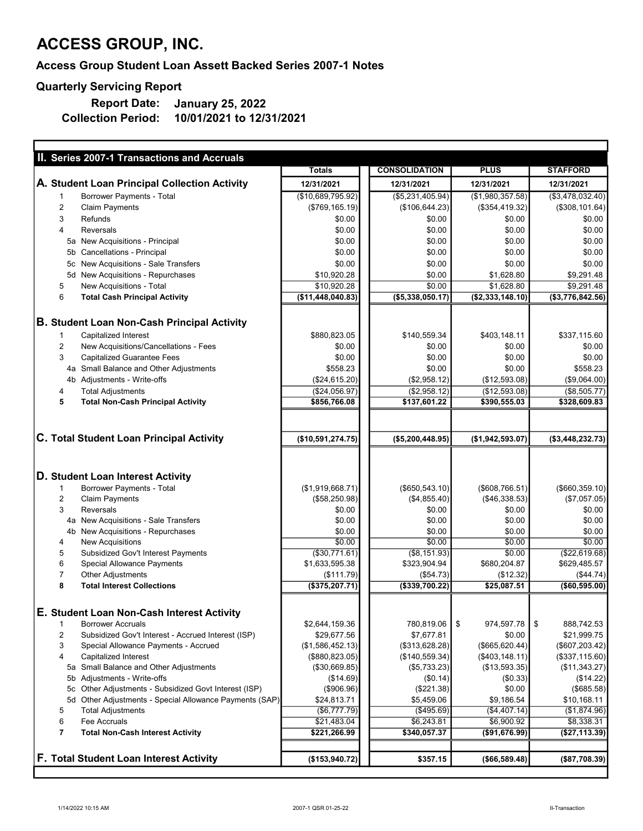### Access Group Student Loan Assett Backed Series 2007-1 Notes

### Quarterly Servicing Report

ľ

10/01/2021 to 12/31/2021 Report Date: Collection Period: January 25, 2022

| II. Series 2007-1 Transactions and Accruals                          |                         |                        |                           |                        |
|----------------------------------------------------------------------|-------------------------|------------------------|---------------------------|------------------------|
|                                                                      | <b>Totals</b>           | <b>CONSOLIDATION</b>   | <b>PLUS</b>               | <b>STAFFORD</b>        |
| A. Student Loan Principal Collection Activity                        | 12/31/2021              | 12/31/2021             | 12/31/2021                | 12/31/2021             |
| Borrower Payments - Total<br>$\mathbf{1}$                            | (\$10,689,795.92)       | (\$5,231,405.94)       | (\$1,980,357.58)          | (\$3,478,032.40)       |
| $\overline{2}$<br><b>Claim Payments</b>                              | (\$769, 165.19)         | (\$106, 644.23)        | (\$354,419.32)            | $(*308, 101.64)$       |
| 3<br>Refunds                                                         | \$0.00                  | \$0.00                 | \$0.00                    | \$0.00                 |
| 4<br><b>Reversals</b>                                                | \$0.00                  | \$0.00                 | \$0.00                    | \$0.00                 |
| 5a New Acquisitions - Principal                                      | \$0.00                  | \$0.00                 | \$0.00                    | \$0.00                 |
| 5b Cancellations - Principal                                         | \$0.00                  | \$0.00                 | \$0.00                    | \$0.00                 |
| 5c New Acquisitions - Sale Transfers                                 | \$0.00                  | \$0.00                 | \$0.00                    | \$0.00                 |
| 5d New Acquisitions - Repurchases                                    | \$10,920.28             | \$0.00                 | \$1,628.80                | \$9,291.48             |
| 5<br>New Acquisitions - Total                                        | \$10,920.28             | \$0.00                 | \$1,628.80                | \$9,291.48             |
| 6<br><b>Total Cash Principal Activity</b>                            | (\$11,448,040.83)       | ( \$5,338,050.17)      | (\$2,333,148.10)          | (\$3,776,842.56)       |
|                                                                      |                         |                        |                           |                        |
| <b>B. Student Loan Non-Cash Principal Activity</b>                   |                         |                        |                           |                        |
| Capitalized Interest<br>$\mathbf{1}$                                 | \$880,823.05            | \$140,559.34           | \$403,148.11              | \$337,115.60           |
| $\overline{2}$<br>New Acquisitions/Cancellations - Fees              | \$0.00                  | \$0.00                 | \$0.00                    | \$0.00                 |
| 3<br><b>Capitalized Guarantee Fees</b>                               | \$0.00                  | \$0.00                 | \$0.00                    | \$0.00                 |
| 4a Small Balance and Other Adjustments                               | \$558.23                | \$0.00                 | \$0.00                    | \$558.23               |
| 4b Adjustments - Write-offs                                          | (\$24,615.20)           | (\$2,958.12)           | (\$12,593.08)             | (\$9,064.00)           |
| <b>Total Adjustments</b><br>4                                        | (\$24,056.97)           | (\$2,958.12)           | (\$12,593.08)             | (\$8,505.77)           |
| 5<br><b>Total Non-Cash Principal Activity</b>                        | \$856,766.08            | \$137,601.22           | \$390,555.03              | \$328,609.83           |
|                                                                      |                         |                        |                           |                        |
|                                                                      |                         |                        |                           |                        |
| C. Total Student Loan Principal Activity                             | (\$10,591,274.75)       | (\$5,200,448.95)       | (\$1,942,593.07)          | ( \$3,448,232.73)      |
|                                                                      |                         |                        |                           |                        |
|                                                                      |                         |                        |                           |                        |
| D. Student Loan Interest Activity                                    |                         |                        |                           |                        |
| Borrower Payments - Total<br>1<br>$\overline{2}$                     | (\$1,919,668.71)        | (\$650, 543.10)        | $($ \$608,766.51) $ $     | ( \$660, 359.10)       |
| <b>Claim Payments</b><br>3<br><b>Reversals</b>                       | (\$58,250.98)<br>\$0.00 | (\$4,855.40)<br>\$0.00 | ( \$46, 338.53)<br>\$0.00 | (\$7,057.05)<br>\$0.00 |
| 4a New Acquisitions - Sale Transfers                                 | \$0.00                  | \$0.00                 | \$0.00                    | \$0.00                 |
| 4b New Acquisitions - Repurchases                                    | \$0.00                  | \$0.00                 | \$0.00                    | \$0.00                 |
| 4<br><b>New Acquisitions</b>                                         | \$0.00                  | \$0.00                 | \$0.00                    | \$0.00                 |
| 5<br>Subsidized Gov't Interest Payments                              | ( \$30,771.61)          | ( \$8, 151.93)         | \$0.00                    | (\$22,619.68)          |
| 6<br>Special Allowance Payments                                      | \$1,633,595.38          | \$323,904.94           | \$680,204.87              | \$629,485.57           |
| $\overline{7}$<br>Other Adjustments                                  | (\$111.79)              | (\$54.73)              | (\$12.32)                 | ( \$44.74)             |
| 8<br><b>Total Interest Collections</b>                               | (\$375,207.71)          | (\$339,700.22)         | \$25,087.51               | (\$60,595.00)          |
|                                                                      |                         |                        |                           |                        |
| E. Student Loan Non-Cash Interest Activity                           |                         |                        |                           |                        |
| <b>Borrower Accruals</b><br>1                                        | \$2,644,159.36          | 780,819.06             | \$<br>974,597.78          | \$<br>888,742.53       |
| $\overline{c}$<br>Subsidized Gov't Interest - Accrued Interest (ISP) | \$29,677.56             | \$7,677.81             | \$0.00                    | \$21,999.75            |
| 3<br>Special Allowance Payments - Accrued                            | (\$1,586,452.13)        | (\$313,628.28)         | (\$665, 620.44)           | (\$607,203.42)         |
| 4<br>Capitalized Interest                                            | (\$880, 823.05)         | (\$140,559.34)         | $($ \$403,148.11)         | (\$337,115.60)         |
| 5a Small Balance and Other Adjustments                               | (\$30,669.85)           | (\$5,733.23)           | (\$13,593.35)             | ( \$11,343.27)         |
| 5b Adjustments - Write-offs                                          | (\$14.69)               | $(\$0.14)$             | $(\$0.33)$                | (\$14.22)              |
| 5c Other Adjustments - Subsidized Govt Interest (ISP)                | (\$906.96)              | (\$221.38)             | \$0.00                    | (\$685.58)             |
| 5d Other Adjustments - Special Allowance Payments (SAP)              | \$24,813.71             | \$5,459.06             | \$9,186.54                | \$10,168.11            |
| <b>Total Adjustments</b><br>5                                        | (\$6,777.79)            | (\$495.69)             | (\$4,407.14)              | (\$1,874.96)           |
| 6<br>Fee Accruals                                                    | \$21,483.04             | \$6,243.81             | \$6,900.92                | \$8,338.31             |
| $\overline{7}$<br><b>Total Non-Cash Interest Activity</b>            | \$221,266.99            | \$340,057.37           | (\$91,676.99)             | (\$27,113.39)          |
|                                                                      |                         |                        |                           |                        |
| F. Total Student Loan Interest Activity                              | (\$153,940.72)          | \$357.15               | $($ \$66,589.48)          | ( \$87,708.39)         |

٦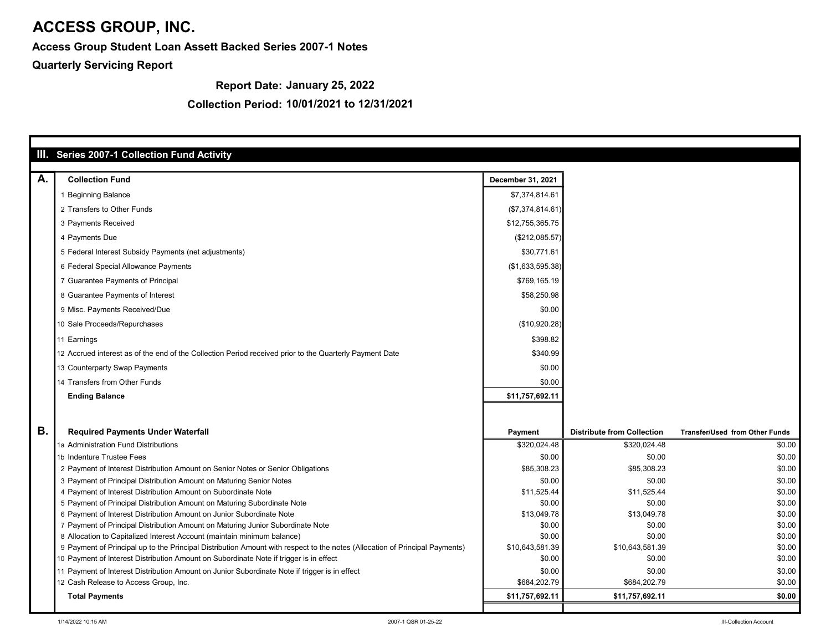Access Group Student Loan Assett Backed Series 2007-1 Notes

Quarterly Servicing Report

Report Date: January 25, 2022

|           | III. Series 2007-1 Collection Fund Activity                                                                                                                                                            |                           |                                   |                                       |
|-----------|--------------------------------------------------------------------------------------------------------------------------------------------------------------------------------------------------------|---------------------------|-----------------------------------|---------------------------------------|
|           |                                                                                                                                                                                                        |                           |                                   |                                       |
| Α.        | <b>Collection Fund</b>                                                                                                                                                                                 | December 31, 2021         |                                   |                                       |
|           | 1 Beginning Balance                                                                                                                                                                                    | \$7,374,814.61            |                                   |                                       |
|           | 2 Transfers to Other Funds                                                                                                                                                                             | (\$7,374,814.61)          |                                   |                                       |
|           | 3 Payments Received                                                                                                                                                                                    | \$12,755,365.75           |                                   |                                       |
|           | 4 Payments Due                                                                                                                                                                                         | (\$212,085.57)            |                                   |                                       |
|           | 5 Federal Interest Subsidy Payments (net adjustments)                                                                                                                                                  | \$30,771.61               |                                   |                                       |
|           | 6 Federal Special Allowance Payments                                                                                                                                                                   | (\$1,633,595.38)          |                                   |                                       |
|           | 7 Guarantee Payments of Principal                                                                                                                                                                      | \$769,165.19              |                                   |                                       |
|           | 8 Guarantee Payments of Interest                                                                                                                                                                       | \$58,250.98               |                                   |                                       |
|           | 9 Misc. Payments Received/Due                                                                                                                                                                          | \$0.00                    |                                   |                                       |
|           | 10 Sale Proceeds/Repurchases                                                                                                                                                                           | (\$10,920.28)             |                                   |                                       |
|           | 11 Earnings                                                                                                                                                                                            | \$398.82                  |                                   |                                       |
|           | 12 Accrued interest as of the end of the Collection Period received prior to the Quarterly Payment Date                                                                                                | \$340.99                  |                                   |                                       |
|           | 13 Counterparty Swap Payments                                                                                                                                                                          | \$0.00                    |                                   |                                       |
|           | 14 Transfers from Other Funds                                                                                                                                                                          | \$0.00                    |                                   |                                       |
|           | <b>Ending Balance</b>                                                                                                                                                                                  | \$11,757,692.11           |                                   |                                       |
|           |                                                                                                                                                                                                        |                           |                                   |                                       |
|           |                                                                                                                                                                                                        |                           |                                   |                                       |
| <b>B.</b> | <b>Required Payments Under Waterfall</b>                                                                                                                                                               | Payment                   | <b>Distribute from Collection</b> | <b>Transfer/Used from Other Funds</b> |
|           | 1a Administration Fund Distributions                                                                                                                                                                   | \$320,024.48              | \$320,024.48                      | \$0.00                                |
|           | 1b Indenture Trustee Fees                                                                                                                                                                              | \$0.00                    | \$0.00                            | \$0.00                                |
|           | 2 Payment of Interest Distribution Amount on Senior Notes or Senior Obligations                                                                                                                        | \$85,308.23               | \$85,308.23                       | \$0.00                                |
|           | 3 Payment of Principal Distribution Amount on Maturing Senior Notes                                                                                                                                    | \$0.00                    | \$0.00                            | \$0.00                                |
|           | 4 Payment of Interest Distribution Amount on Subordinate Note                                                                                                                                          | \$11,525.44               | \$11.525.44                       | \$0.00                                |
|           | 5 Payment of Principal Distribution Amount on Maturing Subordinate Note                                                                                                                                | \$0.00                    | \$0.00                            | \$0.00                                |
|           | 6 Payment of Interest Distribution Amount on Junior Subordinate Note                                                                                                                                   | \$13,049.78               | \$13,049.78                       | \$0.00                                |
|           | 7 Payment of Principal Distribution Amount on Maturing Junior Subordinate Note                                                                                                                         | \$0.00                    | \$0.00                            | \$0.00                                |
|           | 8 Allocation to Capitalized Interest Account (maintain minimum balance)<br>9 Payment of Principal up to the Principal Distribution Amount with respect to the notes (Allocation of Principal Payments) | \$0.00<br>\$10,643,581.39 | \$0.00<br>\$10,643,581.39         | \$0.00<br>\$0.00                      |
|           | 10 Payment of Interest Distribution Amount on Subordinate Note if trigger is in effect                                                                                                                 | \$0.00                    | \$0.00                            | \$0.00                                |
|           |                                                                                                                                                                                                        | \$0.00                    | \$0.00                            | \$0.00                                |
|           | 11 Payment of Interest Distribution Amount on Junior Subordinate Note if trigger is in effect<br>12 Cash Release to Access Group, Inc.                                                                 | \$684,202.79              | \$684,202.79                      | \$0.00                                |
|           |                                                                                                                                                                                                        |                           |                                   |                                       |
|           | <b>Total Payments</b>                                                                                                                                                                                  | \$11,757,692.11           | \$11,757,692.11                   | \$0.00                                |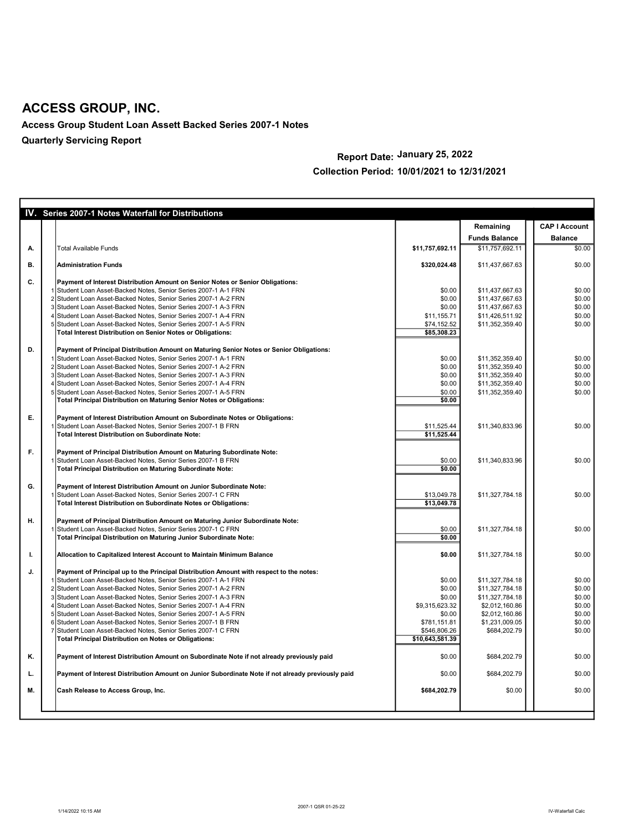Access Group Student Loan Assett Backed Series 2007-1 Notes Quarterly Servicing Report

### Report Date: January 25, 2022 Collection Period: 10/01/2021 to 12/31/2021

|    | IV. Series 2007-1 Notes Waterfall for Distributions                                                                              |                 |                      |                      |
|----|----------------------------------------------------------------------------------------------------------------------------------|-----------------|----------------------|----------------------|
|    |                                                                                                                                  |                 | Remaining            | <b>CAP I Account</b> |
|    |                                                                                                                                  |                 | <b>Funds Balance</b> | <b>Balance</b>       |
| А. | <b>Total Available Funds</b>                                                                                                     | \$11,757,692.11 | \$11,757,692.11      | \$0.00               |
| В. | <b>Administration Funds</b>                                                                                                      | \$320,024.48    | \$11,437,667.63      | \$0.00               |
| C. | Payment of Interest Distribution Amount on Senior Notes or Senior Obligations:                                                   |                 |                      |                      |
|    | Student Loan Asset-Backed Notes, Senior Series 2007-1 A-1 FRN                                                                    | \$0.00          | \$11,437,667.63      | \$0.00               |
|    | 2 Student Loan Asset-Backed Notes, Senior Series 2007-1 A-2 FRN                                                                  | \$0.00          | \$11,437,667.63      | \$0.00               |
|    | 3 Student Loan Asset-Backed Notes, Senior Series 2007-1 A-3 FRN                                                                  | \$0.00          | \$11,437,667.63      | \$0.00               |
|    | 4 Student Loan Asset-Backed Notes, Senior Series 2007-1 A-4 FRN                                                                  | \$11,155.71     | \$11,426,511.92      | \$0.00               |
|    | 5 Student Loan Asset-Backed Notes, Senior Series 2007-1 A-5 FRN                                                                  | \$74,152.52     | \$11,352,359.40      | \$0.00               |
|    | Total Interest Distribution on Senior Notes or Obligations:                                                                      | \$85,308.23     |                      |                      |
| D. | Payment of Principal Distribution Amount on Maturing Senior Notes or Senior Obligations:                                         |                 |                      |                      |
|    | 1 Student Loan Asset-Backed Notes, Senior Series 2007-1 A-1 FRN                                                                  | \$0.00          | \$11,352,359.40      | \$0.00               |
|    | 2 Student Loan Asset-Backed Notes, Senior Series 2007-1 A-2 FRN                                                                  | \$0.00          | \$11,352,359.40      | \$0.00               |
|    | 3 Student Loan Asset-Backed Notes, Senior Series 2007-1 A-3 FRN                                                                  | \$0.00          | \$11,352,359.40      | \$0.00               |
|    | 4 Student Loan Asset-Backed Notes, Senior Series 2007-1 A-4 FRN                                                                  | \$0.00          | \$11,352,359.40      | \$0.00               |
|    | 5 Student Loan Asset-Backed Notes, Senior Series 2007-1 A-5 FRN                                                                  | \$0.00          | \$11,352,359.40      | \$0.00               |
|    | Total Principal Distribution on Maturing Senior Notes or Obligations:                                                            | \$0.00          |                      |                      |
| E. | Payment of Interest Distribution Amount on Subordinate Notes or Obligations:                                                     |                 |                      |                      |
|    | Student Loan Asset-Backed Notes, Senior Series 2007-1 B FRN                                                                      | \$11,525.44     | \$11,340,833.96      | \$0.00               |
|    | <b>Total Interest Distribution on Subordinate Note:</b>                                                                          | \$11,525.44     |                      |                      |
|    |                                                                                                                                  |                 |                      |                      |
| F. | Payment of Principal Distribution Amount on Maturing Subordinate Note:                                                           | \$0.00          |                      | \$0.00               |
|    | Student Loan Asset-Backed Notes, Senior Series 2007-1 B FRN<br><b>Total Principal Distribution on Maturing Subordinate Note:</b> | \$0.00          | \$11,340,833.96      |                      |
|    |                                                                                                                                  |                 |                      |                      |
| G. | Payment of Interest Distribution Amount on Junior Subordinate Note:                                                              |                 |                      |                      |
|    | Student Loan Asset-Backed Notes, Senior Series 2007-1 C FRN                                                                      | \$13,049.78     | \$11,327,784.18      | \$0.00               |
|    | Total Interest Distribution on Subordinate Notes or Obligations:                                                                 | \$13,049.78     |                      |                      |
| н. | Payment of Principal Distribution Amount on Maturing Junior Subordinate Note:                                                    |                 |                      |                      |
|    | Student Loan Asset-Backed Notes, Senior Series 2007-1 C FRN                                                                      | \$0.00          | \$11,327,784.18      | \$0.00               |
|    | Total Principal Distribution on Maturing Junior Subordinate Note:                                                                | \$0.00          |                      |                      |
| ı. | Allocation to Capitalized Interest Account to Maintain Minimum Balance                                                           | \$0.00          | \$11,327,784.18      | \$0.00               |
|    |                                                                                                                                  |                 |                      |                      |
| J. | Payment of Principal up to the Principal Distribution Amount with respect to the notes:                                          |                 |                      |                      |
|    | 1 Student Loan Asset-Backed Notes, Senior Series 2007-1 A-1 FRN                                                                  | \$0.00          | \$11,327,784.18      | \$0.00               |
|    | 2 Student Loan Asset-Backed Notes, Senior Series 2007-1 A-2 FRN                                                                  | \$0.00          | \$11,327,784.18      | \$0.00               |
|    | 3 Student Loan Asset-Backed Notes, Senior Series 2007-1 A-3 FRN                                                                  | \$0.00          | \$11,327,784.18      | \$0.00               |
|    | 4 Student Loan Asset-Backed Notes, Senior Series 2007-1 A-4 FRN                                                                  | \$9,315,623.32  | \$2,012,160.86       | \$0.00               |
|    | 5 Student Loan Asset-Backed Notes, Senior Series 2007-1 A-5 FRN                                                                  | \$0.00          | \$2,012,160.86       | \$0.00               |
|    | 6 Student Loan Asset-Backed Notes, Senior Series 2007-1 B FRN                                                                    | \$781,151.81    | \$1,231,009.05       | \$0.00               |
|    | 7 Student Loan Asset-Backed Notes, Senior Series 2007-1 C FRN                                                                    | \$546,806.26    | \$684,202.79         | \$0.00               |
|    | <b>Total Principal Distribution on Notes or Obligations:</b>                                                                     | \$10,643,581.39 |                      |                      |
| K. | Payment of Interest Distribution Amount on Subordinate Note if not already previously paid                                       | \$0.00          | \$684,202.79         | \$0.00               |
| L. | Payment of Interest Distribution Amount on Junior Subordinate Note if not already previously paid                                | \$0.00          | \$684,202.79         | \$0.00               |
| М. | Cash Release to Access Group, Inc.                                                                                               | \$684,202.79    | \$0.00               | \$0.00               |
|    |                                                                                                                                  |                 |                      |                      |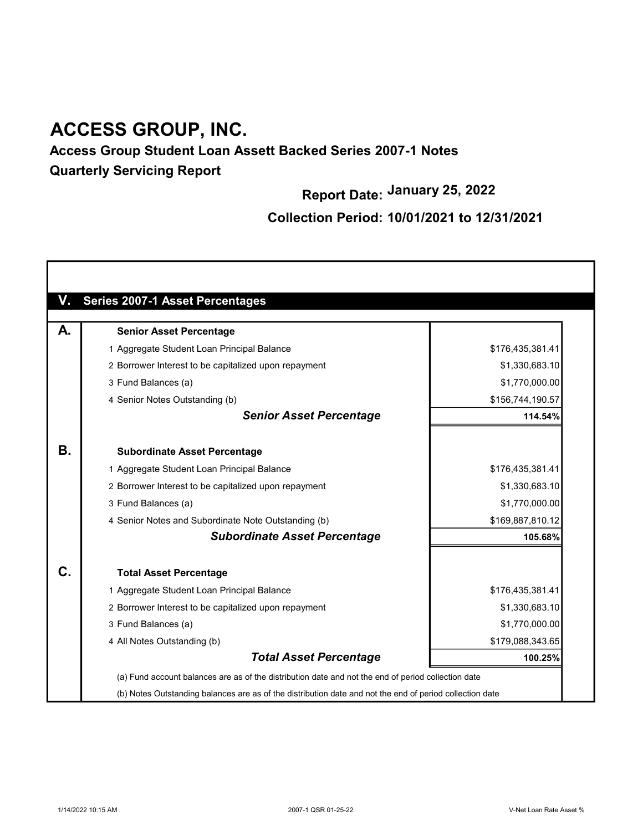## Access Group Student Loan Assett Backed Series 2007-1 Notes Quarterly Servicing Report

Report Date: January 25, 2022

| V.           | <b>Series 2007-1 Asset Percentages</b>                                                                   |                  |
|--------------|----------------------------------------------------------------------------------------------------------|------------------|
| А.           | <b>Senior Asset Percentage</b>                                                                           |                  |
|              | 1 Aggregate Student Loan Principal Balance                                                               | \$176,435,381.41 |
|              | 2 Borrower Interest to be capitalized upon repayment                                                     | \$1,330,683.10   |
|              | 3 Fund Balances (a)                                                                                      | \$1,770,000.00   |
|              | 4 Senior Notes Outstanding (b)                                                                           | \$156,744,190.57 |
|              | <b>Senior Asset Percentage</b>                                                                           | 114.54%          |
| <b>B.</b>    | <b>Subordinate Asset Percentage</b>                                                                      |                  |
|              | 1 Aggregate Student Loan Principal Balance                                                               | \$176,435,381.41 |
|              | 2 Borrower Interest to be capitalized upon repayment                                                     | \$1,330,683.10   |
|              | 3 Fund Balances (a)                                                                                      | \$1,770,000.00   |
|              | 4 Senior Notes and Subordinate Note Outstanding (b)                                                      | \$169,887,810.12 |
|              | <b>Subordinate Asset Percentage</b>                                                                      | 105.68%          |
| $\mathbf{C}$ | <b>Total Asset Percentage</b>                                                                            |                  |
|              | 1 Aggregate Student Loan Principal Balance                                                               | \$176,435,381.41 |
|              | 2 Borrower Interest to be capitalized upon repayment                                                     | \$1,330,683.10   |
|              | 3 Fund Balances (a)                                                                                      | \$1,770,000.00   |
|              | 4 All Notes Outstanding (b)                                                                              | \$179,088,343.65 |
|              | <b>Total Asset Percentage</b>                                                                            | 100.25%          |
|              | (a) Fund account balances are as of the distribution date and not the end of period collection date      |                  |
|              | (b) Notes Outstanding balances are as of the distribution date and not the end of period collection date |                  |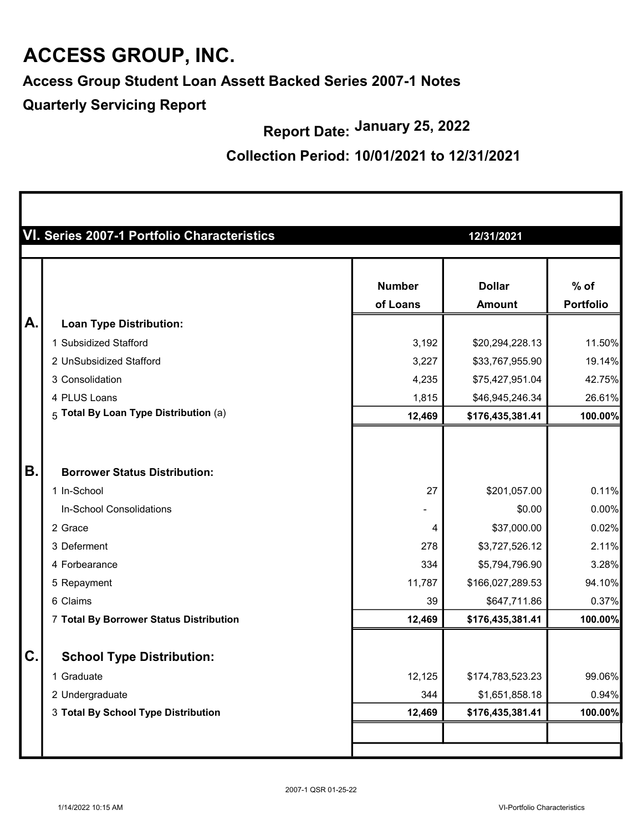Access Group Student Loan Assett Backed Series 2007-1 Notes

Quarterly Servicing Report

Report Date: January 25, 2022

| VI. Series 2007-1 Portfolio Characteristics |                                | 12/31/2021                 |                                                     |  |  |
|---------------------------------------------|--------------------------------|----------------------------|-----------------------------------------------------|--|--|
|                                             | <b>Number</b>                  | <b>Dollar</b>              | $%$ of<br><b>Portfolio</b>                          |  |  |
|                                             |                                |                            |                                                     |  |  |
| 1 Subsidized Stafford                       |                                |                            | 11.50%                                              |  |  |
| 2 UnSubsidized Stafford                     |                                |                            | 19.14%                                              |  |  |
| 3 Consolidation                             | 4,235                          | \$75,427,951.04            | 42.75%                                              |  |  |
| 4 PLUS Loans                                | 1,815                          | \$46,945,246.34            | 26.61%                                              |  |  |
| 5 Total By Loan Type Distribution (a)       | 12,469                         | \$176,435,381.41           | 100.00%                                             |  |  |
|                                             |                                |                            |                                                     |  |  |
| <b>Borrower Status Distribution:</b>        |                                |                            |                                                     |  |  |
| 1 In-School                                 | 27                             | \$201,057.00               | 0.11%                                               |  |  |
| In-School Consolidations                    | -                              | \$0.00                     | 0.00%                                               |  |  |
| 2 Grace                                     | 4                              | \$37,000.00                | 0.02%                                               |  |  |
| 3 Deferment                                 | 278                            | \$3,727,526.12             | 2.11%                                               |  |  |
| 4 Forbearance                               | 334                            | \$5,794,796.90             | 3.28%                                               |  |  |
| 5 Repayment                                 | 11,787                         | \$166,027,289.53           | 94.10%                                              |  |  |
| 6 Claims                                    | 39                             | \$647,711.86               | 0.37%                                               |  |  |
| 7 Total By Borrower Status Distribution     | 12,469                         | \$176,435,381.41           | 100.00%                                             |  |  |
| <b>School Type Distribution:</b>            |                                |                            |                                                     |  |  |
| 1 Graduate                                  | 12,125                         | \$174,783,523.23           | 99.06%                                              |  |  |
| 2 Undergraduate                             | 344                            | \$1,651,858.18             | 0.94%                                               |  |  |
| 3 Total By School Type Distribution         | 12,469                         | \$176,435,381.41           | 100.00%                                             |  |  |
|                                             |                                |                            |                                                     |  |  |
|                                             | <b>Loan Type Distribution:</b> | of Loans<br>3,192<br>3,227 | <b>Amount</b><br>\$20,294,228.13<br>\$33,767,955.90 |  |  |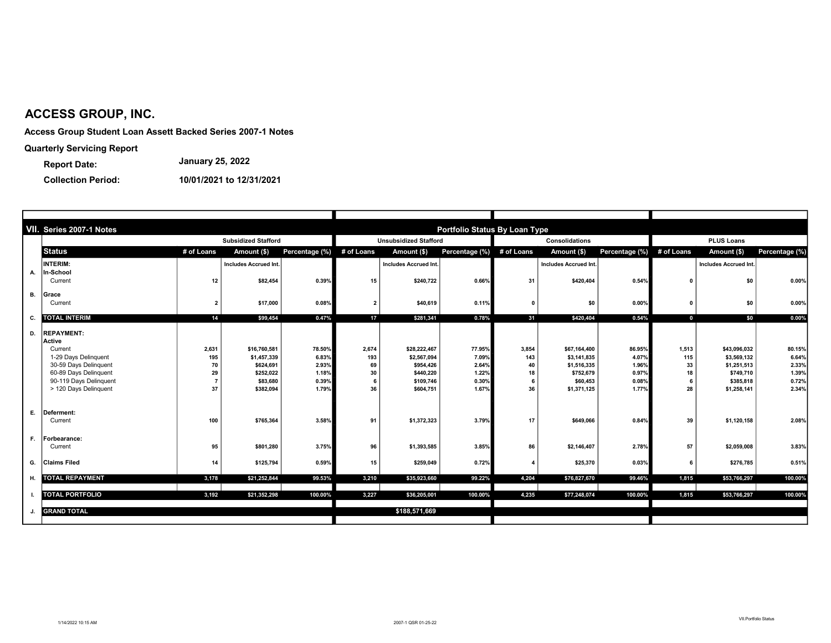Access Group Student Loan Assett Backed Series 2007-1 Notes

Quarterly Servicing Report

Report Date: January 25, 2022

|    | VII. Series 2007-1 Notes    |                         |                              |                |                              |                              | Portfolio Status By Loan Type |                |                       |                           |                   |                       |                |
|----|-----------------------------|-------------------------|------------------------------|----------------|------------------------------|------------------------------|-------------------------------|----------------|-----------------------|---------------------------|-------------------|-----------------------|----------------|
|    | <b>Subsidized Stafford</b>  |                         |                              |                | <b>Unsubsidized Stafford</b> |                              |                               | Consolidations |                       |                           | <b>PLUS Loans</b> |                       |                |
|    | <b>Status</b>               | # of Loans              | Amount (\$)                  | Percentage (%) | # of Loans                   | Amount (\$)                  | Percentage (%)                | # of Loans     | Amount (\$)           | Percentage (%) # of Loans |                   | Amount (\$)           | Percentage (%) |
|    | <b>INTERIM:</b>             |                         | <b>Includes Accrued Int.</b> |                |                              | <b>Includes Accrued Int.</b> |                               |                | Includes Accrued Int. |                           |                   | Includes Accrued Int. |                |
| А. | In-School                   |                         |                              |                |                              |                              |                               |                |                       |                           |                   |                       |                |
|    | Current                     | 12                      | \$82,454                     | 0.39%          | 15                           | \$240,722                    | 0.66%                         | 31             | \$420,404             | 0.54%                     | 0                 | \$0                   | $0.00\%$       |
| В. | Grace                       |                         |                              |                |                              |                              |                               |                |                       |                           |                   |                       |                |
|    | Current                     | $\overline{\mathbf{2}}$ | \$17,000                     | 0.08%          | $\overline{2}$               | \$40,619                     | 0.11%                         | $\mathbf{0}$   | \$0                   | 0.00%                     | $\mathbf{0}$      | \$0                   | $0.00\%$       |
| C. | <b>TOTAL INTERIM</b>        | 14                      | \$99.454                     | 0.47%          | 17                           | \$281,341                    | 0.78%                         | 31             | \$420.404             | 0.54%                     | $\mathbf{0}$      | \$0                   | $0.00\%$       |
|    |                             |                         |                              |                |                              |                              |                               |                |                       |                           |                   |                       |                |
| D. | <b>REPAYMENT:</b><br>Active |                         |                              |                |                              |                              |                               |                |                       |                           |                   |                       |                |
|    | Current                     | 2,631                   | \$16,760,581                 | 78.50%         | 2,674                        | \$28,222,467                 | 77.95%                        | 3,854          | \$67,164,400          | 86.95%                    | 1,513             | \$43,096,032          | 80.15%         |
|    | 1-29 Davs Delinguent        | 195                     | \$1,457,339                  | 6.83%          | 193                          | \$2,567,094                  | 7.09%                         | 143            | \$3,141,835           | 4.07%                     | 115               | \$3.569.132           | 6.64%          |
|    | 30-59 Days Delinquent       | 70                      | \$624,691                    | 2.93%          | 69                           | \$954.426                    | 2.64%                         | 40             | \$1,516,335           | 1.96%                     | 33                | \$1,251,513           | 2.33%          |
|    | 60-89 Days Delinquent       | 29                      | \$252,022                    | 1.18%          | 30                           | \$440,220                    | 1.22%                         | 18             | \$752,679             | 0.97%                     | 18                | \$749,710             | 1.39%          |
|    | 90-119 Davs Delinquent      | $\overline{7}$          | \$83,680                     | 0.39%          | 6                            | \$109.746                    | 0.30%                         | 6              | \$60,453              | 0.08%                     | -6                | \$385,818             | 0.72%          |
|    | > 120 Days Delinquent       | 37                      | \$382,094                    | 1.79%          | 36                           | \$604,751                    | 1.67%                         | 36             | \$1,371,125           | 1.77%                     | 28                | \$1,258,141           | 2.34%          |
| Е. | Deferment:                  |                         |                              |                |                              |                              |                               |                |                       |                           |                   |                       |                |
|    | Current                     | 100                     | \$765,364                    | 3.58%          | 91                           | \$1,372,323                  | 3.79%                         | 17             | \$649,066             | 0.84%                     | 39                | \$1,120,158           | 2.08%          |
|    |                             |                         |                              |                |                              |                              |                               |                |                       |                           |                   |                       |                |
| F. | Forbearance:                |                         |                              |                |                              |                              |                               |                |                       |                           |                   |                       |                |
|    | Current                     | 95                      | \$801,280                    | 3.75%          | 96                           | \$1,393,585                  | 3.85%                         | 86             | \$2,146,407           | 2.78%                     | 57                | \$2,059,008           | 3.83%          |
| G. | <b>Claims Filed</b>         | 14                      | \$125,794                    | 0.59%          | 15                           | \$259,049                    | 0.72%                         | $\mathbf{A}$   | \$25,370              | 0.03%                     | 6                 | \$276,785             | 0.51%          |
| н. | <b>TOTAL REPAYMENT</b>      | 3,178                   | \$21.252.844                 | 99.53%         | 3,210                        | \$35,923,660                 | 99.22%                        | 4,204          | \$76,827,670          | 99.46%                    | 1,815             | \$53,766,297          | 100.00%        |
|    |                             |                         |                              |                |                              |                              |                               |                |                       |                           |                   |                       |                |
|    | <b>TOTAL PORTFOLIO</b>      | 3,192                   | \$21,352,298                 | 100.00%        | 3,227                        | \$36,205,001                 | 100.00%                       | 4,235          | \$77,248,074          | 100.00%                   | 1,815             | \$53,766,297          | 100.00%        |
|    | <b>GRAND TOTAL</b>          |                         |                              |                |                              | \$188,571,669                |                               |                |                       |                           |                   |                       |                |
|    |                             |                         |                              |                |                              |                              |                               |                |                       |                           |                   |                       |                |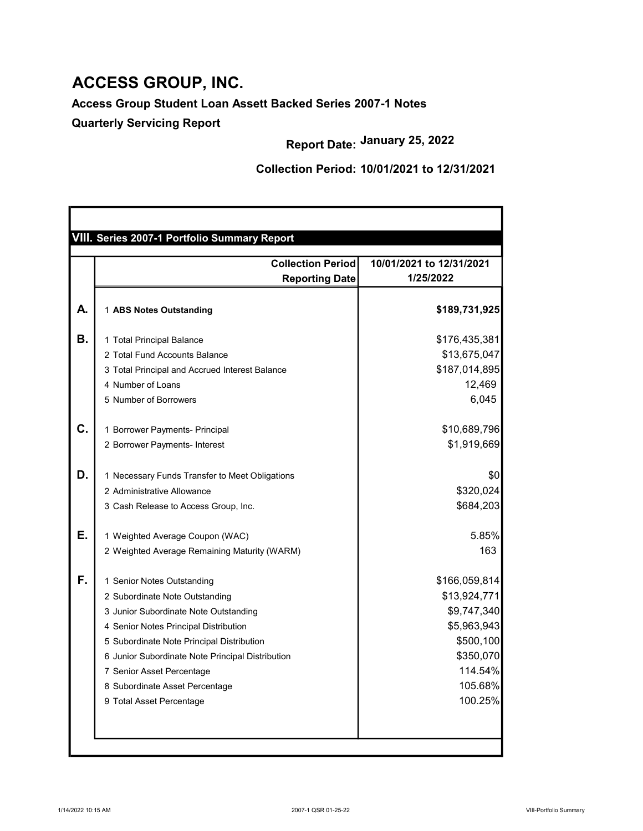## Access Group Student Loan Assett Backed Series 2007-1 Notes

Quarterly Servicing Report

Report Date: January 25, 2022

|    | <b>Collection Period</b>                         | 10/01/2021 to 12/31/2021 |
|----|--------------------------------------------------|--------------------------|
|    | <b>Reporting Date</b>                            | 1/25/2022                |
| А. | 1 ABS Notes Outstanding                          | \$189,731,925            |
| Β. | 1 Total Principal Balance                        | \$176,435,381            |
|    | 2 Total Fund Accounts Balance                    | \$13,675,047             |
|    | 3 Total Principal and Accrued Interest Balance   | \$187,014,895            |
|    | 4 Number of Loans                                | 12,469                   |
|    | 5 Number of Borrowers                            | 6,045                    |
| C. | 1 Borrower Payments- Principal                   | \$10,689,796             |
|    | 2 Borrower Payments- Interest                    | \$1,919,669              |
| D. | 1 Necessary Funds Transfer to Meet Obligations   | \$0                      |
|    | 2 Administrative Allowance                       | \$320,024                |
|    | 3 Cash Release to Access Group, Inc.             | \$684,203                |
| Ε. | 1 Weighted Average Coupon (WAC)                  | 5.85%                    |
|    | 2 Weighted Average Remaining Maturity (WARM)     | 163                      |
| F. | 1 Senior Notes Outstanding                       | \$166,059,814            |
|    | 2 Subordinate Note Outstanding                   | \$13,924,771             |
|    | 3 Junior Subordinate Note Outstanding            | \$9,747,340              |
|    | 4 Senior Notes Principal Distribution            | \$5,963,943              |
|    | 5 Subordinate Note Principal Distribution        | \$500,100                |
|    | 6 Junior Subordinate Note Principal Distribution | \$350,070                |
|    | 7 Senior Asset Percentage                        | 114.54%                  |
|    | 8 Subordinate Asset Percentage                   | 105.68%                  |
|    | 9 Total Asset Percentage                         | 100.25%                  |